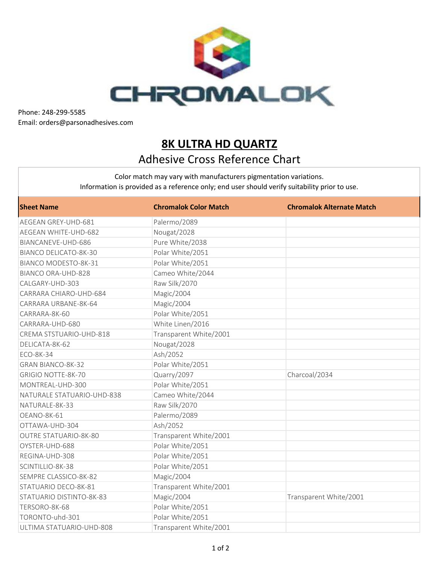

Phone: 248-299-5585 Email: orders@parsonadhesives.com

## **8K ULTRA HD QUARTZ** Adhesive Cross Reference Chart

Color match may vary with manufacturers pigmentation variations. Information is provided as a reference only; end user should verify suitability prior to use.

| <b>Sheet Name</b>            | <b>Chromalok Color Match</b> | <b>Chromalok Alternate Match</b> |
|------------------------------|------------------------------|----------------------------------|
| AEGEAN GREY-UHD-681          | Palermo/2089                 |                                  |
| <b>AEGEAN WHITE-UHD-682</b>  | Nougat/2028                  |                                  |
| BIANCANEVE-UHD-686           | Pure White/2038              |                                  |
| <b>BIANCO DELICATO-8K-30</b> | Polar White/2051             |                                  |
| BIANCO MODESTO-8K-31         | Polar White/2051             |                                  |
| <b>BIANCO ORA-UHD-828</b>    | Cameo White/2044             |                                  |
| CALGARY-UHD-303              | Raw Silk/2070                |                                  |
| CARRARA CHIARO-UHD-684       | Magic/2004                   |                                  |
| CARRARA URBANE-8K-64         | Magic/2004                   |                                  |
| CARRARA-8K-60                | Polar White/2051             |                                  |
| CARRARA-UHD-680              | White Linen/2016             |                                  |
| CREMA STSTUARIO-UHD-818      | Transparent White/2001       |                                  |
| DELICATA-8K-62               | Nougat/2028                  |                                  |
| ECO-8K-34                    | Ash/2052                     |                                  |
| <b>GRAN BIANCO-8K-32</b>     | Polar White/2051             |                                  |
| <b>GRIGIO NOTTE-8K-70</b>    | Quarry/2097                  | Charcoal/2034                    |
| MONTREAL-UHD-300             | Polar White/2051             |                                  |
| NATURALE STATUARIO-UHD-838   | Cameo White/2044             |                                  |
| NATURALE-8K-33               | Raw Silk/2070                |                                  |
| OEANO-8K-61                  | Palermo/2089                 |                                  |
| OTTAWA-UHD-304               | Ash/2052                     |                                  |
| <b>OUTRE STATUARIO-8K-80</b> | Transparent White/2001       |                                  |
| OYSTER-UHD-688               | Polar White/2051             |                                  |
| REGINA-UHD-308               | Polar White/2051             |                                  |
| SCINTILLIO-8K-38             | Polar White/2051             |                                  |
| SEMPRE CLASSICO-8K-82        | Magic/2004                   |                                  |
| STATUARIO DECO-8K-81         | Transparent White/2001       |                                  |
| STATUARIO DISTINTO-8K-83     | Magic/2004                   | Transparent White/2001           |
| TERSORO-8K-68                | Polar White/2051             |                                  |
| TORONTO-uhd-301              | Polar White/2051             |                                  |
| ULTIMA STATUARIO-UHD-808     | Transparent White/2001       |                                  |